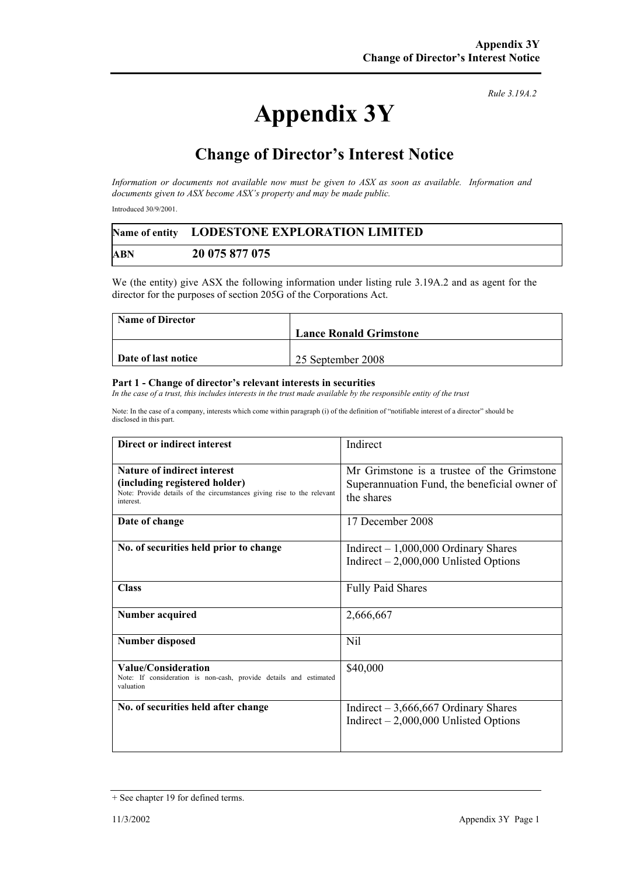## **Appendix 3Y**

*Rule 3.19A.2*

## **Change of Director's Interest Notice**

*Information or documents not available now must be given to ASX as soon as available. Information and documents given to ASX become ASX's property and may be made public.* 

Introduced 30/9/2001.

|     | Name of entity LODESTONE EXPLORATION LIMITED |  |
|-----|----------------------------------------------|--|
| ABN | 20 075 877 075                               |  |

We (the entity) give ASX the following information under listing rule 3.19A.2 and as agent for the director for the purposes of section 205G of the Corporations Act.

| <b>Name of Director</b> |                               |
|-------------------------|-------------------------------|
|                         | <b>Lance Ronald Grimstone</b> |
|                         |                               |
| Date of last notice     | 25 September 2008             |

## **Part 1 - Change of director's relevant interests in securities**

In the case of a trust, this includes interests in the trust made available by the responsible entity of the trust

Note: In the case of a company, interests which come within paragraph (i) of the definition of "notifiable interest of a director" should be disclosed in this part.

| Direct or indirect interest                                                                                                                               | Indirect                                                                                                 |
|-----------------------------------------------------------------------------------------------------------------------------------------------------------|----------------------------------------------------------------------------------------------------------|
| <b>Nature of indirect interest</b><br>(including registered holder)<br>Note: Provide details of the circumstances giving rise to the relevant<br>interest | Mr Grimstone is a trustee of the Grimstone<br>Superannuation Fund, the beneficial owner of<br>the shares |
| Date of change                                                                                                                                            | 17 December 2008                                                                                         |
| No. of securities held prior to change                                                                                                                    | Indirect $-1,000,000$ Ordinary Shares<br>Indirect $-2,000,000$ Unlisted Options                          |
| <b>Class</b>                                                                                                                                              | <b>Fully Paid Shares</b>                                                                                 |
| <b>Number acquired</b>                                                                                                                                    | 2,666,667                                                                                                |
| <b>Number disposed</b>                                                                                                                                    | Nil                                                                                                      |
| Value/Consideration<br>Note: If consideration is non-cash, provide details and estimated<br>valuation                                                     | \$40,000                                                                                                 |
| No. of securities held after change                                                                                                                       | Indirect $-3,666,667$ Ordinary Shares<br>Indirect $-2,000,000$ Unlisted Options                          |

<sup>+</sup> See chapter 19 for defined terms.